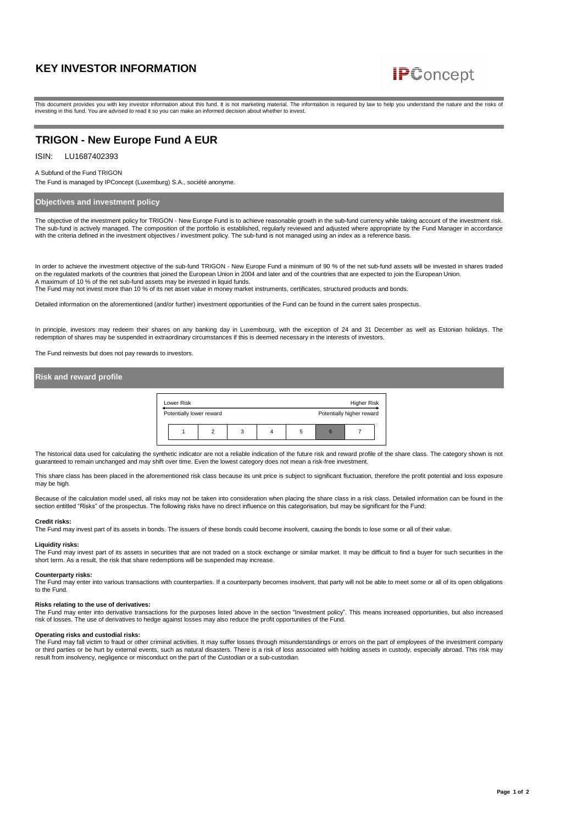

This document provides you with key investor information about this fund. It is not marketing material. The information is required by law to help you understand the nature and the risks of investing in this fund. You are advised to read it so you can make an informed decision about whether to invest.

# **TRIGON - New Europe Fund A EUR**

### ISIN: LU1687402393

#### A Subfund of the Fund TRIGON

The Fund is managed by IPConcept (Luxemburg) S.A., société anonyme.

# **Objectives and investment policy**

The objective of the investment policy for TRIGON - New Europe Fund is to achieve reasonable growth in the sub-fund currency while taking account of the investment risk. The sub-fund is actively managed. The composition of the portfolio is established, regularly reviewed and adjusted where appropriate by the Fund Manager in accordance with the criteria defined in the investment objectives / investment policy. The sub-fund is not managed using an index as a reference basis

In order to achieve the investment objective of the sub-fund TRIGON - New Europe Fund a minimum of 90 % of the net sub-fund assets will be invested in shares traded on the regulated markets of the countries that joined the European Union in 2004 and later and of the countries that are expected to join the European Union.<br>A maximum of 10 % of the net sub-fund assets may be invested in

The Fund may not invest more than 10 % of its net asset value in money market instruments, certificates, structured products and bonds.

Detailed information on the aforementioned (and/or further) investment opportunities of the Fund can be found in the current sales prospectus.

In principle, investors may redeem their shares on any banking day in Luxembourg, with the exception of 24 and 31 December as well as Estonian holidays. The redemption of shares may be suspended in extraordinary circumstances if this is deemed necessary in the interests of investors.

The Fund reinvests but does not pay rewards to investors.

# **Risk and reward profile**



The historical data used for calculating the synthetic indicator are not a reliable indication of the future risk and reward profile of the share class. The category shown is not guaranteed to remain unchanged and may shift over time. Even the lowest category does not mean a risk-free investment

This share class has been placed in the aforementioned risk class because its unit price is subject to significant fluctuation, therefore the profit potential and loss exposure may be high.

Because of the calculation model used, all risks may not be taken into consideration when placing the share class in a risk class. Detailed information can be found in the section entitled "Risks" of the prospectus. The following risks have no direct influence on this categorisation, but may be significant for the Fund:

## **Credit risks:**

The Fund may invest part of its assets in bonds. The issuers of these bonds could become insolvent, causing the bonds to lose some or all of their value.

### **Liquidity risks:**

The Fund may invest part of its assets in securities that are not traded on a stock exchange or similar market. It may be difficult to find a buyer for such securities in the short term. As a result, the risk that share redemptions will be suspended may increase.

### **Counterparty risks:**

The Fund may enter into various transactions with counterparties. If a counterparty becomes insolvent, that party will not be able to meet some or all of its open obligations to the Fund.

### **Risks relating to the use of derivatives:**

The Fund may enter into derivative transactions for the purposes listed above in the section "Investment policy". This means increased opportunities, but also increased risk of losses. The use of derivatives to hedge against losses may also reduce the profit opportunities of the Fund.

### **Operating risks and custodial risks:**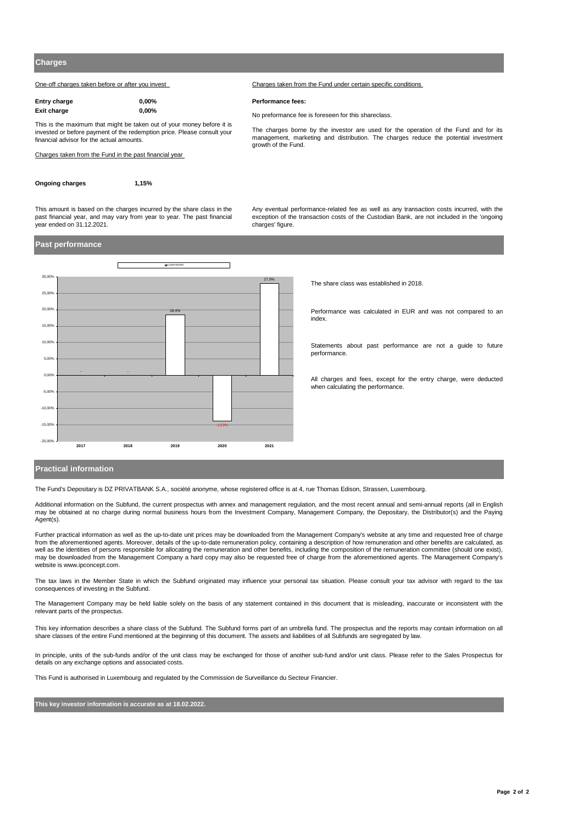One-off charges taken before or after you invest Charges taken from the Fund under certain specific conditions

| Entry charge | $0.00\%$ |
|--------------|----------|
| Exit charge  | $0.00\%$ |

This is the maximum that might be taken out of your money before it is invested or before payment of the redemption price. Please consult your financial advisor for the actual amounts.

Charges taken from the Fund in the past financial year

**Ongoing charges 1,15%**

This amount is based on the charges incurred by the share class in the past financial year, and may vary from year to year. The past financial Any eventual performance-related fee as well as any transaction costs incurred, with the exception of the transaction costs of the Custodian Bank, are not included in the 'ongoing charges' figure

The charges borne by the investor are used for the operation of the Fund and for its management, marketing and distribution. The charges reduce the potential investment

## **Past performance**

 $\frac{1}{2}$ 



The share class was established in 2018.

Performance was calculated in EUR and was not compared to an index.

Statements about past performance are not a guide to future performance.

All charges and fees, except for the entry charge, were deducted when calculating the performance.

## **Practical information**

The Fund's Depositary is DZ PRIVATBANK S.A., société anonyme, whose registered office is at 4, rue Thomas Edison, Strassen, Luxembourg.

Additional information on the Subfund, the current prospectus with annex and management regulation, and the most recent annual and semi-annual reports (all in English<br>may be obtained at no charge during normal business hou Agent(s).

 $Performance fees:$ 

growth of the Fund.

No preformance fee is foreseen for this shareclass.

Further practical information as well as the up-to-date unit prices may be downloaded from the Management Company's website at any time and requested free of charge from the aforementioned agents. Moreover, details of the up-to-date remuneration policy, containing a description of how remuneration and other benefits are calculated, as well as the identities of persons responsible for allocating the remuneration and other benefits, including the composition of the remuneration committee (should one exist), may be downloaded from the Management Company a hard copy may also be requested free of charge from the aforementioned agents. The Management Company's website is www.ipconcept.com.

The tax laws in the Member State in which the Subfund originated may influence your personal tax situation. Please consult your tax advisor with regard to the tax consequences of investing in the Subfund.

The Management Company may be held liable solely on the basis of any statement contained in this document that is misleading, inaccurate or inconsistent with the relevant parts of the prospectus.

This key information describes a share class of the Subfund. The Subfund forms part of an umbrella fund. The prospectus and the reports may contain information on all share classes of the entire Fund mentioned at the beginning of this document. The assets and liabilities of all Subfunds are segregated by law.

In principle, units of the sub-funds and/or of the unit class may be exchanged for those of another sub-fund and/or unit class. Please refer to the Sales Prospectus for details on any exchange options and associated costs.

This Fund is authorised in Luxembourg and regulated by the Commission de Surveillance du Secteur Financier.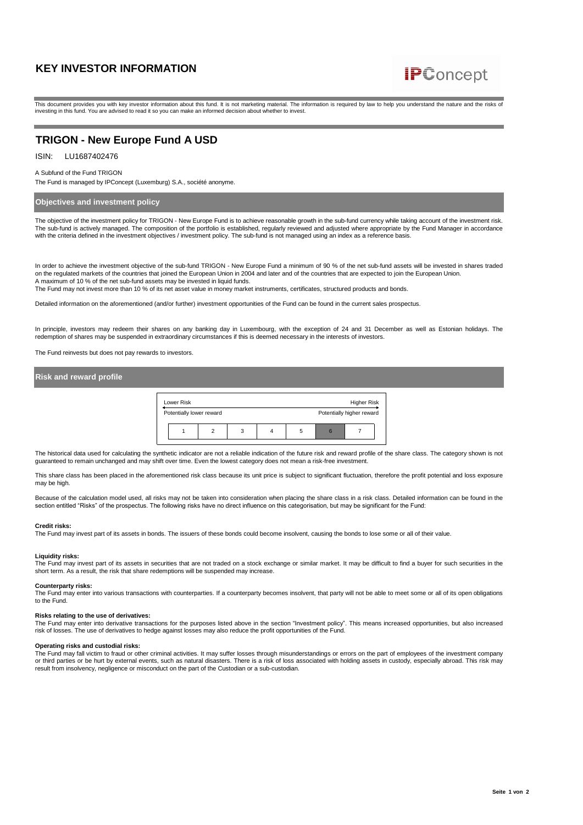

This document provides you with key investor information about this fund. It is not marketing material. The information is required by law to help you understand the nature and the risks of investing in this fund. You are advised to read it so you can make an informed decision about whether to invest.

# **TRIGON - New Europe Fund A USD**

ISIN: LU1687402476

#### A Subfund of the Fund TRIGON

The Fund is managed by IPConcept (Luxemburg) S.A., société anonyme.

# **Objectives and investment policy**

The objective of the investment policy for TRIGON - New Europe Fund is to achieve reasonable growth in the sub-fund currency while taking account of the investment risk. The sub-fund is actively managed. The composition of the portfolio is established, regularly reviewed and adjusted where appropriate by the Fund Manager in accordance with the criteria defined in the investment objectives / investment policy. The sub-fund is not managed using an index as a reference basis

In order to achieve the investment objective of the sub-fund TRIGON - New Europe Fund a minimum of 90 % of the net sub-fund assets will be invested in shares traded on the regulated markets of the countries that joined the European Union in 2004 and later and of the countries that are expected to join the European Union.<br>A maximum of 10 % of the net sub-fund assets may be invested in

Detailed information on the aforementioned (and/or further) investment opportunities of the Fund can be found in the current sales prospectus.

In principle, investors may redeem their shares on any banking day in Luxembourg, with the exception of 24 and 31 December as well as Estonian holidays. The redemption of shares may be suspended in extraordinary circumstances if this is deemed necessary in the interests of investors.

The Fund reinvests but does not pay rewards to investors.

## **Risk and reward profile**



The historical data used for calculating the synthetic indicator are not a reliable indication of the future risk and reward profile of the share class. The category shown is not guaranteed to remain unchanged and may shift over time. Even the lowest category does not mean a risk-free investment.

This share class has been placed in the aforementioned risk class because its unit price is subject to significant fluctuation, therefore the profit potential and loss exposure may be high.

Because of the calculation model used, all risks may not be taken into consideration when placing the share class in a risk class. Detailed information can be found in the section entitled "Risks" of the prospectus. The following risks have no direct influence on this categorisation, but may be significant for the Fund:

#### **Credit risks:**

The Fund may invest part of its assets in bonds. The issuers of these bonds could become insolvent, causing the bonds to lose some or all of their value.

### **Liquidity risks:**

The Fund may invest part of its assets in securities that are not traded on a stock exchange or similar market. It may be difficult to find a buyer for such securities in the short term. As a result, the risk that share redemptions will be suspended may increase.

### **Counterparty risks:**

The Fund may enter into various transactions with counterparties. If a counterparty becomes insolvent, that party will not be able to meet some or all of its open obligations to the Fund.

## **Risks relating to the use of derivatives:**

The Fund may enter into derivative transactions for the purposes listed above in the section "Investment policy". This means increased opportunities, but also increased risk of losses. The use of derivatives to hedge against losses may also reduce the profit opportunities of the Fund.

# **Operating risks and custodial risks:**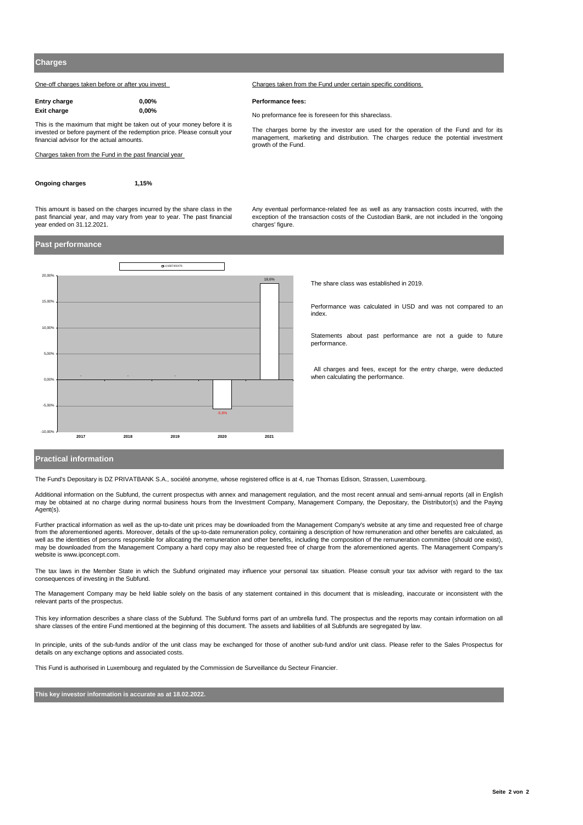One-off charges taken before or after you invest Charges taken from the Fund under certain specific conditions

| Entry charge | $0.00\%$ |
|--------------|----------|
| Exit charge  | $0.00\%$ |

This is the maximum that might be taken out of your money before it is invested or before payment of the redemption price. Please consult your financial advisor for the actual amounts.

Charges taken from the Fund in the past financial year

```
Ongoing charges 1,15%
```
This amount is based on the charges incurred by the share class in the past financial year, and may vary from year to year. The past financial Any eventual performance-related fee as well as any transaction costs incurred, with the exception of the transaction costs of the Custodian Bank, are not included in the 'ongoing charges' figure

The charges borne by the investor are used for the operation of the Fund and for its management, marketing and distribution. The charges reduce the potential investment

## **Past performance**

 $\frac{1}{2}$ 



The share class was established in 2019.

Performance was calculated in USD and was not compared to an index.

Statements about past performance are not a guide to future performance.

All charges and fees, except for the entry charge, were deducted when calculating the performance.

### **Practical information**

The Fund's Depositary is DZ PRIVATBANK S.A., société anonyme, whose registered office is at 4, rue Thomas Edison, Strassen, Luxembourg.

Additional information on the Subfund, the current prospectus with annex and management regulation, and the most recent annual and semi-annual reports (all in English may be obtained at no charge during normal business hours from the Investment Company, Management Company, the Depositary, the Distributor(s) and the Paying Agent(s).

**Performance fees:** 

growth of the Fund.

**Exit charge 0,00%** No preformance fee is foreseen for this shareclass.

Further practical information as well as the up-to-date unit prices may be downloaded from the Management Company's website at any time and requested free of charge from the aforementioned agents. Moreover, details of the up-to-date remuneration policy, containing a description of how remuneration and other benefits are calculated, as well as the identities of persons responsible for allocating the remuneration and other benefits, including the composition of the remuneration committee (should one exist). may be downloaded from the Management Company a hard copy may also be requested free of charge from the aforementioned agents. The Management Company's website is www.ipconcept.com.

The tax laws in the Member State in which the Subfund originated may influence your personal tax situation. Please consult your tax advisor with regard to the tax consequences of investing in the Subfund.

The Management Company may be held liable solely on the basis of any statement contained in this document that is misleading, inaccurate or inconsistent with the relevant parts of the prospectus.

This key information describes a share class of the Subfund. The Subfund forms part of an umbrella fund. The prospectus and the reports may contain information on all share classes of the entire Fund mentioned at the beginning of this document. The assets and liabilities of all Subfunds are segregated by law.

In principle, units of the sub-funds and/or of the unit class may be exchanged for those of another sub-fund and/or unit class. Please refer to the Sales Prospectus for details on any exchange options and associated costs.

This Fund is authorised in Luxembourg and regulated by the Commission de Surveillance du Secteur Financier.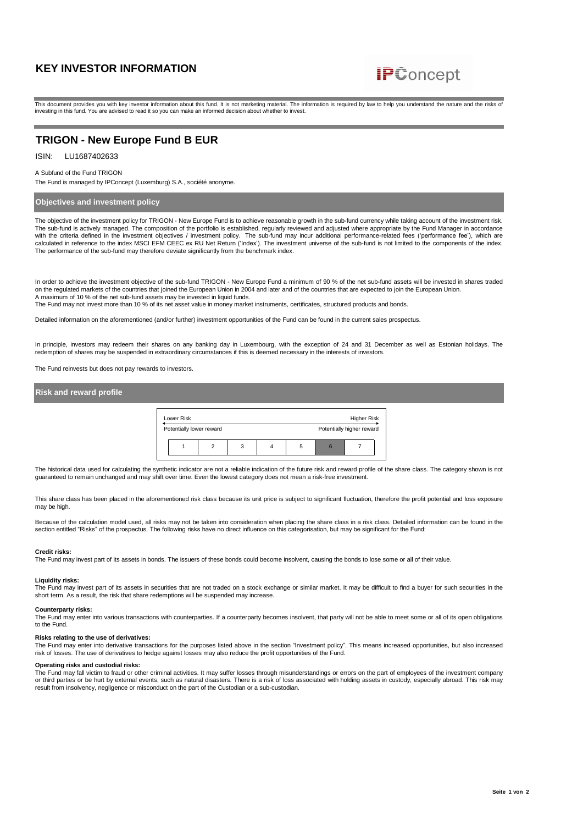

This document provides you with key investor information about this fund. It is not marketing material. The information is required by law to help you understand the nature and the risks of investing in this fund. You are advised to read it so you can make an informed decision about whether to invest.

# **TRIGON - New Europe Fund B EUR**

#### ISIN: LU1687402633

#### A Subfund of the Fund TRIGON

The Fund is managed by IPConcept (Luxemburg) S.A., société anonyme.

# **Objectives and investment policy**

The objective of the investment policy for TRIGON - New Europe Fund is to achieve reasonable growth in the sub-fund currency while taking account of the investment risk. The sub-fund is actively managed. The composition of the portfolio is established, regularly reviewed and adjusted where appropriate by the Fund Manager in accordance with the criteria defined in the investment objectives / investment policy. The sub-fund may incur additional performance-related fees ('performance fee'), which are<br>calculated in reference to the index MSCI EFM CEEC ex RU The performance of the sub-fund may therefore deviate significantly from the benchmark index.

In order to achieve the investment objective of the sub-fund TRIGON - New Europe Fund a minimum of 90 % of the net sub-fund assets will be invested in shares traded on the regulated markets of the countries that joined the European Union in 2004 and later and of the countries that are expected to join the European Union. A maximum of 10 % of the net sub-fund assets may be invested in liquid funds.

The Fund may not invest more than 10 % of its net asset value in money market instruments, certificates, structured products and bonds.

Detailed information on the aforementioned (and/or further) investment opportunities of the Fund can be found in the current sales prospectus.

In principle, investors may redeem their shares on any banking day in Luxembourg, with the exception of 24 and 31 December as well as Estonian holidays. The redemption of shares may be suspended in extraordinary circumstances if this is deemed necessary in the interests of investors.

The Fund reinvests but does not pay rewards to investors.

| Risk and reward profile |                                        |   |  |   |                                                 |              |  |  |
|-------------------------|----------------------------------------|---|--|---|-------------------------------------------------|--------------|--|--|
|                         | Lower Risk<br>Potentially lower reward |   |  |   | <b>Higher Risk</b><br>Potentially higher reward |              |  |  |
|                         |                                        | 2 |  | 4 | 5                                               | $\mathbf{6}$ |  |  |

The historical data used for calculating the synthetic indicator are not a reliable indication of the future risk and reward profile of the share class. The category shown is not guaranteed to remain unchanged and may shift over time. Even the lowest category does not mean a risk-free investment.

This share class has been placed in the aforementioned risk class because its unit price is subject to significant fluctuation, therefore the profit potential and loss exposure may be high.

Because of the calculation model used, all risks may not be taken into consideration when placing the share class in a risk class. Detailed information can be found in the section entitled "Risks" of the prospectus. The following risks have no direct influence on this categorisation, but may be significant for the Fund:

#### **Credit risks:**

The Fund may invest part of its assets in bonds. The issuers of these bonds could become insolvent, causing the bonds to lose some or all of their value.

# **Liquidity risks:**

The Fund may invest part of its assets in securities that are not traded on a stock exchange or similar market. It may be difficult to find a buyer for such securities in the short term. As a result, the risk that share redemptions will be suspended may increase.

#### **Counterparty risks:**

The Fund may enter into various transactions with counterparties. If a counterparty becomes insolvent, that party will not be able to meet some or all of its open obligations to the Fund.

#### **Risks relating to the use of derivatives:**

The Fund may enter into derivative transactions for the purposes listed above in the section "Investment policy". This means increased opportunities, but also increased risk of losses. The use of derivatives to hedge against losses may also reduce the profit opportunities of the Fund.

## **Operating risks and custodial risks:**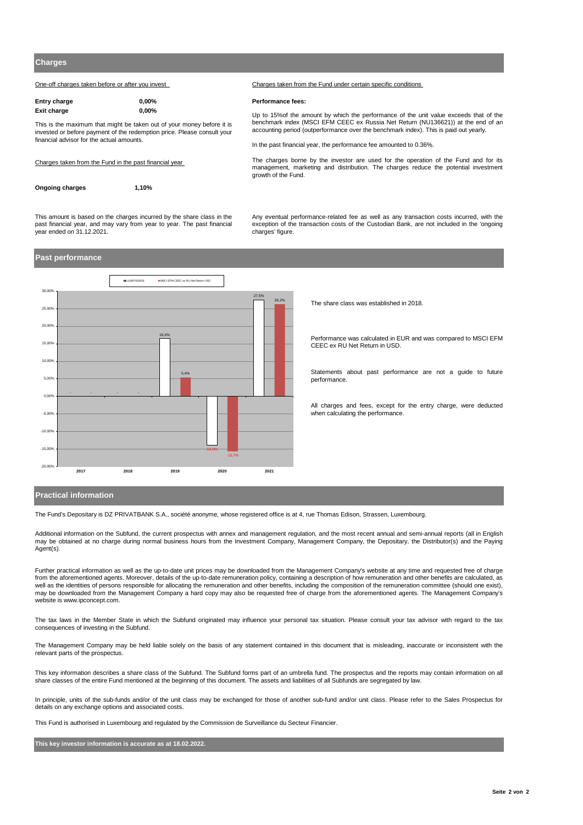One-off charges taken before or after you invest Charges taken from the Fund under certain specific conditions

| <b>Entry charge</b> | $0.00\%$ |
|---------------------|----------|
| Exit charge         | $0.00\%$ |

This is the maximum that might be taken out of your money before it is invested or before payment of the redemption price. Please consult your financial advisor for the actual amounts.

#### Charges taken from the Fund in the past financial year

| Ongoing charges | 1,10% |
|-----------------|-------|

**Entry charge 0,00% Performance fees:**

Up to 15%of the amount by which the performance of the unit value exceeds that of the benchmark index (MSCI EFM CEEC ex Russia Net Return (NU136621)) at the end of an accounting period (outperformance over the benchmark index). This is paid out yearly.

In the past financial year, the performance fee amounted to 0.36%.

The charges borne by the investor are used for the operation of the Fund and for its management, marketing and distribution. The charges reduce the potential investment growth of the Fund.

This amount is based on the charges incurred by the share class in the past financial year, and may vary from year to year. The past financial year ended on 31.12.2021.

Any eventual performance-related fee as well as any transaction costs incurred, with the exception of the transaction costs of the Custodian Bank, are not included in the 'ongoing charges' figure.

# **Past performance**



The share class was established in 2018.

Performance was calculated in EUR and was compared to MSCI EFM CEEC ex RU Net Return in USD.

Statements about past performance are not a guide to future performance.

All charges and fees, except for the entry charge, were deducted when calculating the performance.

## **Practical information**

The Fund's Depositary is DZ PRIVATBANK S.A., société anonyme, whose registered office is at 4, rue Thomas Edison, Strassen, Luxembourg.

Additional information on the Subfund, the current prospectus with annex and management regulation, and the most recent annual and semi-annual reports (all in English may be obtained at no charge during normal business hours from the Investment Company, Management Company, the Depositary, the Distributor(s) and the Paying Agent(s).

Further practical information as well as the up-to-date unit prices may be downloaded from the Management Company's website at any time and requested free of charge from the aforementioned agents. Moreover, details of the up-to-date remuneration policy, containing a description of how remuneration and other benefits are calculated, as well as the identities of persons responsible for allocating the remuneration and other benefits, including the composition of the remuneration committee (should one exist), may be downloaded from the Management Company a hard copy may also be requested free of charge from the aforementioned agents. The Management Company's website is www.ipconcept.com.

The tax laws in the Member State in which the Subfund originated may influence your personal tax situation. Please consult your tax advisor with regard to the tax consequences of investing in the Subfund.

The Management Company may be held liable solely on the basis of any statement contained in this document that is misleading, inaccurate or inconsistent with the relevant parts of the prospectus.

This key information describes a share class of the Subfund. The Subfund forms part of an umbrella fund. The prospectus and the reports may contain information on all share classes of the entire Fund mentioned at the beginning of this document. The assets and liabilities of all Subfunds are segregated by law.

In principle, units of the sub-funds and/or of the unit class may be exchanged for those of another sub-fund and/or unit class. Please refer to the Sales Prospectus for details on any exchange options and associated costs.

This Fund is authorised in Luxembourg and regulated by the Commission de Surveillance du Secteur Financier.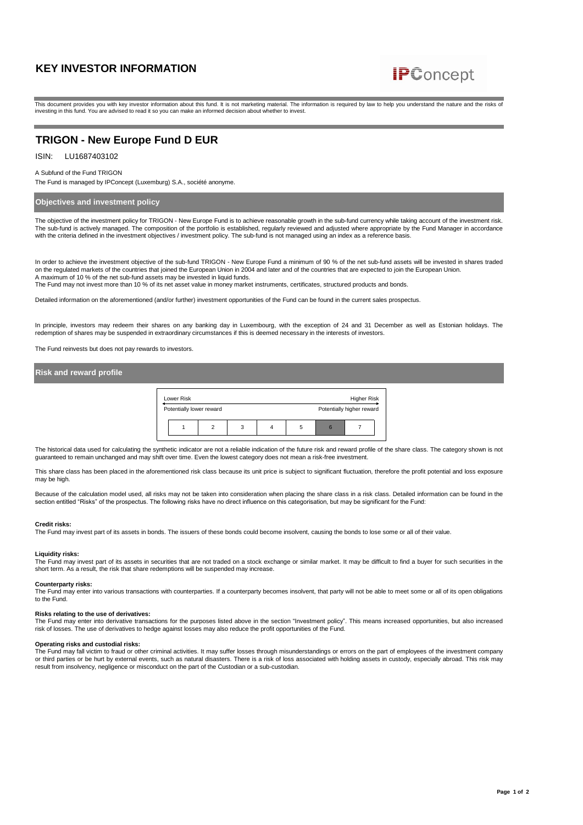

This document provides you with key investor information about this fund. It is not marketing material. The information is required by law to help you understand the nature and the risks of investing in this fund. You are advised to read it so you can make an informed decision about whether to invest.

# **TRIGON - New Europe Fund D EUR**

### ISIN: LU1687403102

#### A Subfund of the Fund TRIGON

The Fund is managed by IPConcept (Luxemburg) S.A., société anonyme.

# **Objectives and investment policy**

The objective of the investment policy for TRIGON - New Europe Fund is to achieve reasonable growth in the sub-fund currency while taking account of the investment risk. The sub-fund is actively managed. The composition of the portfolio is established, regularly reviewed and adjusted where appropriate by the Fund Manager in accordance with the criteria defined in the investment objectives / investment policy. The sub-fund is not managed using an index as a reference basis

In order to achieve the investment objective of the sub-fund TRIGON - New Europe Fund a minimum of 90 % of the net sub-fund assets will be invested in shares traded on the regulated markets of the countries that joined the European Union in 2004 and later and of the countries that are expected to join the European Union. A maximum of 10 % of the net sub-fund assets may be invested in liquid funds.

The Fund may not invest more than 10 % of its net asset value in money market instruments, certificates, structured products and bonds.

Detailed information on the aforementioned (and/or further) investment opportunities of the Fund can be found in the current sales prospectus.

In principle, investors may redeem their shares on any banking day in Luxembourg, with the exception of 24 and 31 December as well as Estonian holidays. The redemption of shares may be suspended in extraordinary circumstances if this is deemed necessary in the interests of investors.

The Fund reinvests but does not pay rewards to investors.

# **Risk and reward profile**



The historical data used for calculating the synthetic indicator are not a reliable indication of the future risk and reward profile of the share class. The category shown is not guaranteed to remain unchanged and may shift over time. Even the lowest category does not mean a risk-free investment.

This share class has been placed in the aforementioned risk class because its unit price is subject to significant fluctuation, therefore the profit potential and loss exposure may be high.

Because of the calculation model used, all risks may not be taken into consideration when placing the share class in a risk class. Detailed information can be found in the section entitled "Risks" of the prospectus. The following risks have no direct influence on this categorisation, but may be significant for the Fund:

#### **Credit risks:**

The Fund may invest part of its assets in bonds. The issuers of these bonds could become insolvent, causing the bonds to lose some or all of their value.

### **Liquidity risks:**

The Fund may invest part of its assets in securities that are not traded on a stock exchange or similar market. It may be difficult to find a buyer for such securities in the short term. As a result, the risk that share redemptions will be suspended may increase.

### **Counterparty risks:**

The Fund may enter into various transactions with counterparties. If a counterparty becomes insolvent, that party will not be able to meet some or all of its open obligations to the Fund.

## **Risks relating to the use of derivatives:**

The Fund may enter into derivative transactions for the purposes listed above in the section "Investment policy". This means increased opportunities, but also increased risk of losses. The use of derivatives to hedge against losses may also reduce the profit opportunities of the Fund.

### **Operating risks and custodial risks:**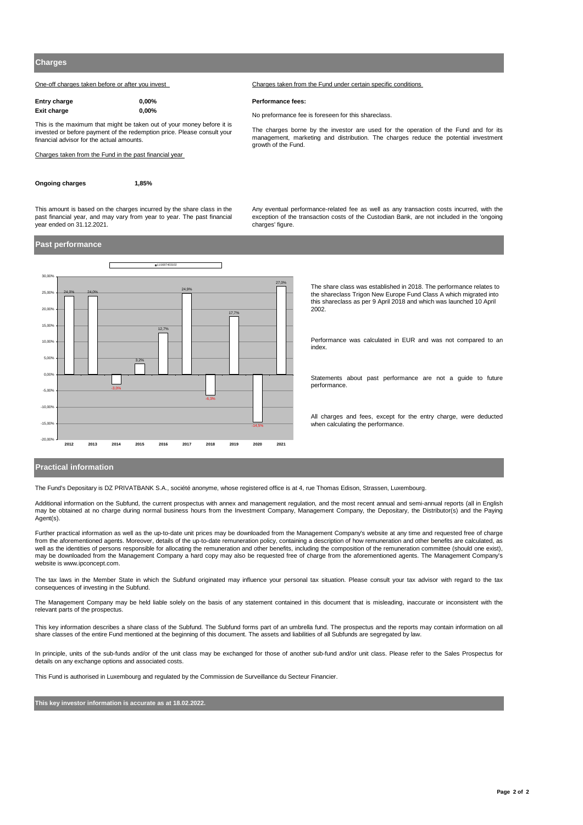One-off charges taken before or after you invest Charges taken from the Fund under certain specific conditions

| Entry charge | $0.00\%$ |
|--------------|----------|
| Exit charge  | $0.00\%$ |

This is the maximum that might be taken out of your money before it is invested or before payment of the redemption price. Please consult your financial advisor for the actual amounts.

Charges taken from the Fund in the past financial year

**Ongoing charges 1,85%**

**Entry charge 0,00% Performance fees:**

**Exit charge 0,00%** No preformance fee is foreseen for this shareclass.

The charges borne by the investor are used for the operation of the Fund and for its management, marketing and distribution. The charges reduce the potential investment growth of the Fund.

This amount is based on the charges incurred by the share class in the past financial year, and may vary from year to year. The past financial year ended on 31.12.2021.

Any eventual performance-related fee as well as any transaction costs incurred, with the exception of the transaction costs of the Custodian Bank, are not included in the 'ongoing charges' figure

## **Past performance**



The share class was established in 2018. The performance relates to the shareclass Trigon New Europe Fund Class A which migrated into this shareclass as per 9 April 2018 and which was launched 10 April 2002.

Performance was calculated in EUR and was not compared to an index.

Statements about past performance are not a guide to future performance.

All charges and fees, except for the entry charge, were deducted when calculating the performance.

## **Practical information**

The Fund's Depositary is DZ PRIVATBANK S.A., société anonyme, whose registered office is at 4, rue Thomas Edison, Strassen, Luxembourg.

Additional information on the Subfund, the current prospectus with annex and management regulation, and the most recent annual and semi-annual reports (all in English may be obtained at no charge during normal business hours from the Investment Company, Management Company, the Depositary, the Distributor(s) and the Paying Agent(s).

Further practical information as well as the up-to-date unit prices may be downloaded from the Management Company's website at any time and requested free of charge from the aforementioned agents. Moreover, details of the up-to-date remuneration policy, containing a description of how remuneration and other benefits are calculated, as well as the identities of persons responsible for allocating the remuneration and other benefits, including the composition of the remuneration committee (should one exist), may be downloaded from the Management Company a hard copy may also be requested free of charge from the aforementioned agents. The Management Company's website is www.ipconcept.com.

The tax laws in the Member State in which the Subfund originated may influence your personal tax situation. Please consult your tax advisor with regard to the tax consequences of investing in the Subfund.

The Management Company may be held liable solely on the basis of any statement contained in this document that is misleading, inaccurate or inconsistent with the relevant parts of the prospectus.

This key information describes a share class of the Subfund. The Subfund forms part of an umbrella fund. The prospectus and the reports may contain information on all share classes of the entire Fund mentioned at the beginning of this document. The assets and liabilities of all Subfunds are segregated by law.

In principle, units of the sub-funds and/or of the unit class may be exchanged for those of another sub-fund and/or unit class. Please refer to the Sales Prospectus for details on any exchange options and associated costs.

This Fund is authorised in Luxembourg and regulated by the Commission de Surveillance du Secteur Financier.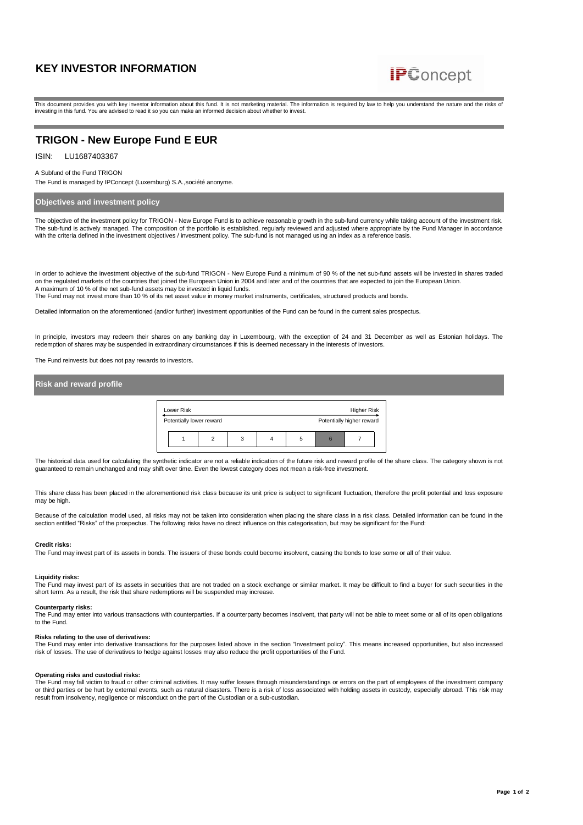

This document provides you with key investor information about this fund. It is not marketing material. The information is required by law to help you understand the nature and the risks of investing in this fund. You are advised to read it so you can make an informed decision about whether to invest.

# **TRIGON - New Europe Fund E EUR**

ISIN: LU1687403367

#### A Subfund of the Fund TRIGON

The Fund is managed by IPConcept (Luxemburg) S.A.,société anonyme.

## **Objectives and investment policy**

The objective of the investment policy for TRIGON - New Europe Fund is to achieve reasonable growth in the sub-fund currency while taking account of the investment risk. The sub-fund is actively managed. The composition of the portfolio is established, regularly reviewed and adjusted where appropriate by the Fund Manager in accordance with the criteria defined in the investment objectives / investment policy. The sub-fund is not managed using an index as a reference basis

In order to achieve the investment objective of the sub-fund TRIGON - New Europe Fund a minimum of 90 % of the net sub-fund assets will be invested in shares traded on the regulated markets of the countries that joined the European Union in 2004 and later and of the countries that are expected to join the European Union. A maximum of 10 % of the net sub-fund assets may be invested in liquid funds.

The Fund may not invest more than 10 % of its net asset value in money market instruments, certificates, structured products and bonds.

Detailed information on the aforementioned (and/or further) investment opportunities of the Fund can be found in the current sales prospectus.

In principle, investors may redeem their shares on any banking day in Luxembourg, with the exception of 24 and 31 December as well as Estonian holidays. The<br>redemption of shares may be suspended in extraordinary circumstan

The Fund reinvests but does not pay rewards to investors.

## **Risk and reward profile**

| Lower Risk               |   |   |   | Higher Risk               |  |
|--------------------------|---|---|---|---------------------------|--|
| Potentially lower reward |   |   |   | Potentially higher reward |  |
|                          | っ | 3 | 5 |                           |  |

The historical data used for calculating the synthetic indicator are not a reliable indication of the future risk and reward profile of the share class. The category shown is not guaranteed to remain unchanged and may shift over time. Even the lowest category does not mean a risk-free investment.

This share class has been placed in the aforementioned risk class because its unit price is subject to significant fluctuation, therefore the profit potential and loss exposure may be high.

Because of the calculation model used, all risks may not be taken into consideration when placing the share class in a risk class. Detailed information can be found in the section entitled "Risks" of the prospectus. The following risks have no direct influence on this categorisation, but may be significant for the Fund:

#### **Credit risks:**

The Fund may invest part of its assets in bonds. The issuers of these bonds could become insolvent, causing the bonds to lose some or all of their value.

#### **Liquidity risks:**

The Fund may invest part of its assets in securities that are not traded on a stock exchange or similar market. It may be difficult to find a buyer for such securities in the short term. As a result, the risk that share redemptions will be suspended may increase.

#### **Counterparty risks:**

The Fund may enter into various transactions with counterparties. If a counterparty becomes insolvent, that party will not be able to meet some or all of its open obligations to the Fund.

#### **Risks relating to the use of derivatives:**

The Fund may enter into derivative transactions for the purposes listed above in the section "Investment policy". This means increased opportunities, but also increased risk of losses. The use of derivatives to hedge against losses may also reduce the profit opportunities of the Fund.

#### **Operating risks and custodial risks:**